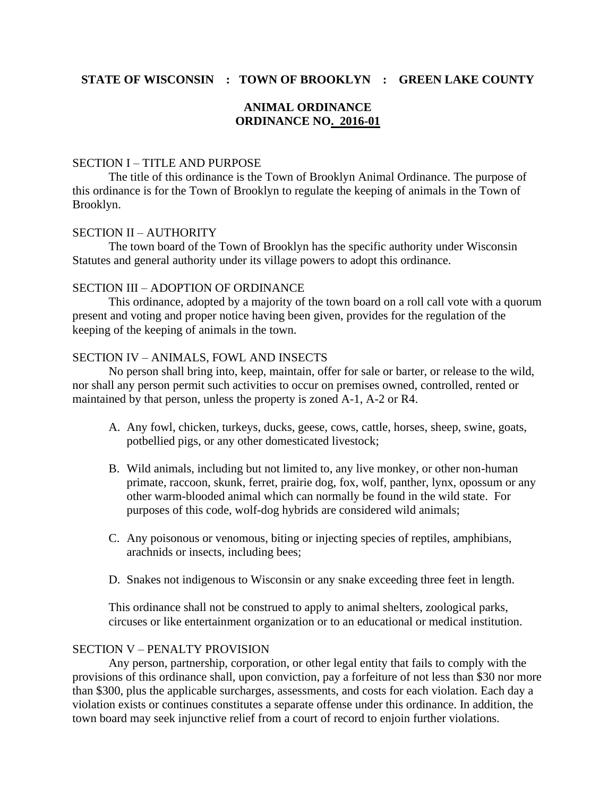# **STATE OF WISCONSIN : TOWN OF BROOKLYN : GREEN LAKE COUNTY**

## **ANIMAL ORDINANCE ORDINANCE NO. 2016-01**

### SECTION I – TITLE AND PURPOSE

The title of this ordinance is the Town of Brooklyn Animal Ordinance. The purpose of this ordinance is for the Town of Brooklyn to regulate the keeping of animals in the Town of Brooklyn.

### SECTION II – AUTHORITY

The town board of the Town of Brooklyn has the specific authority under Wisconsin Statutes and general authority under its village powers to adopt this ordinance.

#### SECTION III – ADOPTION OF ORDINANCE

This ordinance, adopted by a majority of the town board on a roll call vote with a quorum present and voting and proper notice having been given, provides for the regulation of the keeping of the keeping of animals in the town.

### SECTION IV – ANIMALS, FOWL AND INSECTS

No person shall bring into, keep, maintain, offer for sale or barter, or release to the wild, nor shall any person permit such activities to occur on premises owned, controlled, rented or maintained by that person, unless the property is zoned A-1, A-2 or R4.

- A. Any fowl, chicken, turkeys, ducks, geese, cows, cattle, horses, sheep, swine, goats, potbellied pigs, or any other domesticated livestock;
- B. Wild animals, including but not limited to, any live monkey, or other non-human primate, raccoon, skunk, ferret, prairie dog, fox, wolf, panther, lynx, opossum or any other warm-blooded animal which can normally be found in the wild state. For purposes of this code, wolf-dog hybrids are considered wild animals;
- C. Any poisonous or venomous, biting or injecting species of reptiles, amphibians, arachnids or insects, including bees;
- D. Snakes not indigenous to Wisconsin or any snake exceeding three feet in length.

This ordinance shall not be construed to apply to animal shelters, zoological parks, circuses or like entertainment organization or to an educational or medical institution.

#### SECTION V – PENALTY PROVISION

Any person, partnership, corporation, or other legal entity that fails to comply with the provisions of this ordinance shall, upon conviction, pay a forfeiture of not less than \$30 nor more than \$300, plus the applicable surcharges, assessments, and costs for each violation. Each day a violation exists or continues constitutes a separate offense under this ordinance. In addition, the town board may seek injunctive relief from a court of record to enjoin further violations.